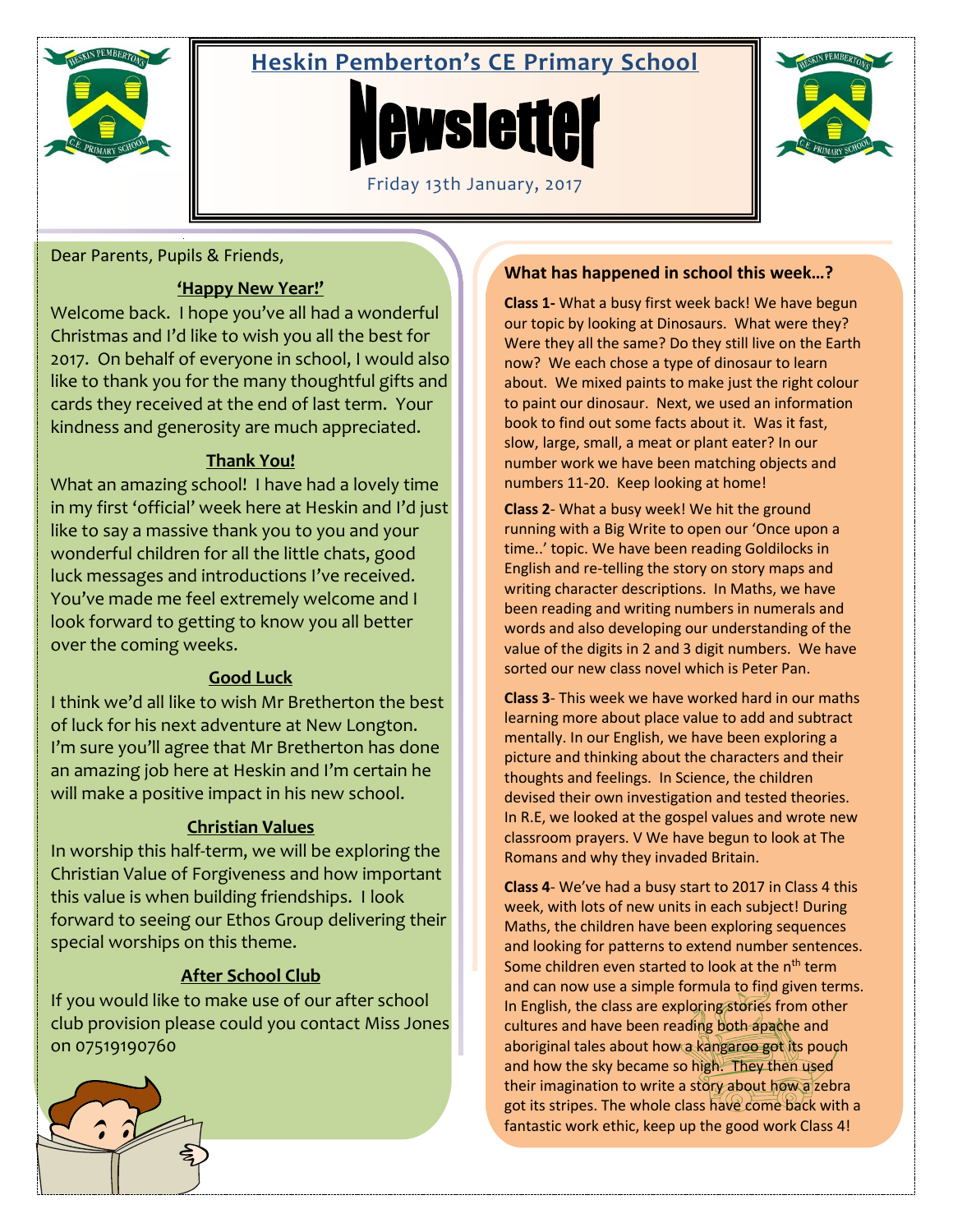

# **Heskin Pemberton's CE Primary School**





Dear Parents, Pupils & Friends,

## **'Happy New Year!'**

Welcome back. I hope you've all had a wonderful Christmas and I'd like to wish you all the best for 2017. On behalf of everyone in school, I would also like to thank you for the many thoughtful gifts and cards they received at the end of last term. Your kindness and generosity are much appreciated.

# **Thank You!**

What an amazing school! I have had a lovely time in my first 'official' week here at Heskin and I'd just like to say a massive thank you to you and your wonderful children for all the little chats, good luck messages and introductions I've received. You've made me feel extremely welcome and I look forward to getting to know you all better over the coming weeks.

# **Good Luck**

I think we'd all like to wish Mr Bretherton the best of luck for his next adventure at New Longton. I'm sure you'll agree that Mr Bretherton has done an amazing job here at Heskin and I'm certain he will make a positive impact in his new school.

# **Christian Values**

In worship this half-term, we will be exploring the Christian Value of Forgiveness and how important this value is when building friendships. I look forward to seeing our Ethos Group delivering their special worships on this theme.

# **After School Club**

If you would like to make use of our after school club provision please could you contact Miss Jones on 07519190760

# **What has happened in school this week…?**

**Class 1-** What a busy first week back! We have begun our topic by looking at Dinosaurs. What were they? Were they all the same? Do they still live on the Earth now? We each chose a type of dinosaur to learn about. We mixed paints to make just the right colour to paint our dinosaur. Next, we used an information book to find out some facts about it. Was it fast, slow, large, small, a meat or plant eater? In our number work we have been matching objects and numbers 11-20. Keep looking at home!

**Class 2**- What a busy week! We hit the ground running with a Big Write to open our 'Once upon a time..' topic. We have been reading Goldilocks in English and re-telling the story on story maps and writing character descriptions. In Maths, we have been reading and writing numbers in numerals and words and also developing our understanding of the value of the digits in 2 and 3 digit numbers. We have sorted our new class novel which is Peter Pan.

**Class 3**- This week we have worked hard in our maths learning more about place value to add and subtract mentally. In our English, we have been exploring a picture and thinking about the characters and their thoughts and feelings. In Science, the children devised their own investigation and tested theories. In R.E, we looked at the gospel values and wrote new classroom prayers. V We have begun to look at The Romans and why they invaded Britain.

**Class 4**- We've had a busy start to 2017 in Class 4 this week, with lots of new units in each subject! During Maths, the children have been exploring sequences and looking for patterns to extend number sentences. Some children even started to look at the n<sup>th</sup> term and can now use a simple formula to find given terms. In English, the class are exploring stories from other cultures and have been reading both apache and aboriginal tales about how a kangaroo got its pouch and how the sky became so high. They then used their imagination to write a story about how a zebra got its stripes. The whole class have come back with a fantastic work ethic, keep up the good work Class 4!